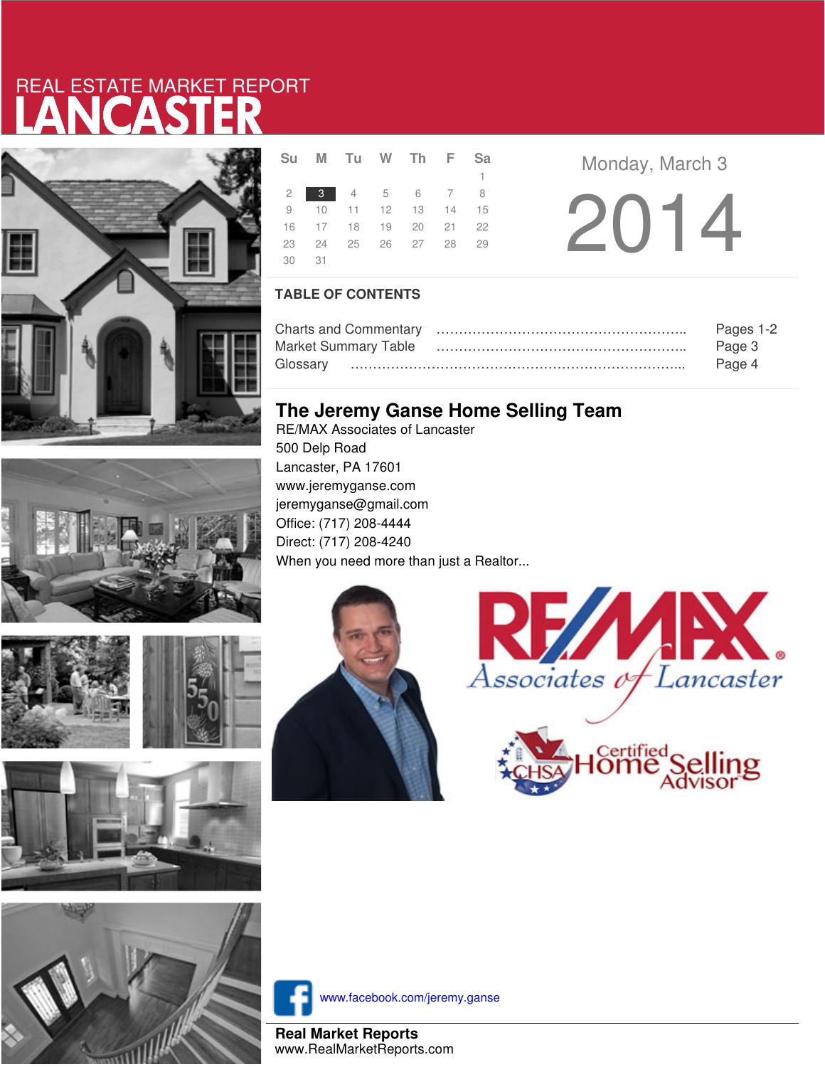# LANCASTER REAL ESTATE MARKET REPORT











|       |  |  | 1.                                                                                                        |  |
|-------|--|--|-----------------------------------------------------------------------------------------------------------|--|
|       |  |  |                                                                                                           |  |
|       |  |  |                                                                                                           |  |
|       |  |  |                                                                                                           |  |
|       |  |  |                                                                                                           |  |
| 30 31 |  |  |                                                                                                           |  |
|       |  |  | Su M Tu W Th F Sa<br>2 3 4 5 6 7 8<br>9 10 11 12 13 14 15<br>16 17 18 19 20 21 22<br>23 24 25 26 27 28 29 |  |

**Monday, March 3** 2014

### **TABLE OF CONTENTS**

|                      | Pages 1-2 |
|----------------------|-----------|
| Market Summary Table | Page 3    |
|                      | Page 4    |

### **The Jeremy Ganse Home Selling Team**

RE/MAX Associates of Lancaster 500 Delp Road Lancaster, PA 17601 www.jeremyganse.com jeremyganse@gmail.com Office: (717) 208-4444 Direct: (717) 208-4240 When you need more than just a Realtor...







www.facebook.com/jeremy.ganse

**Real Market Reports** www.RealMarketReports.com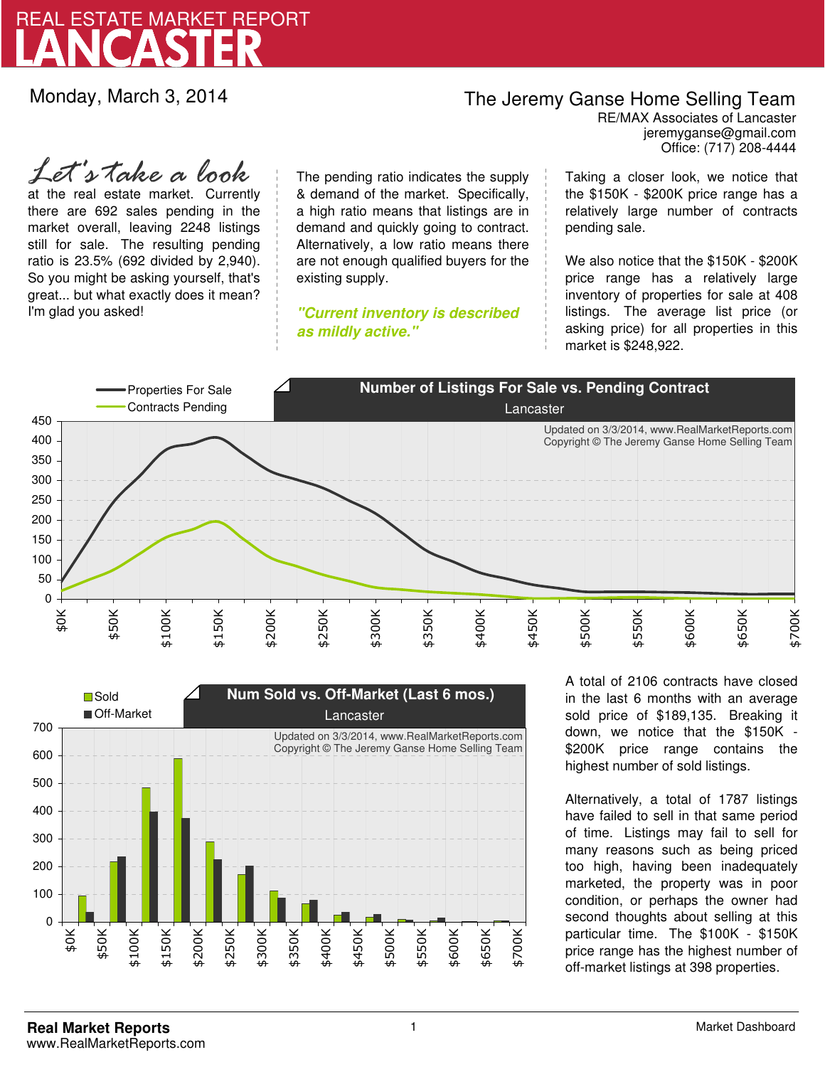

Monday, March 3, 2014

## The Jeremy Ganse Home Selling Team

jeremyganse@gmail.com RE/MAX Associates of Lancaster Office: (717) 208-4444

at the real estate market. Currently there are 692 sales pending in the market overall, leaving 2248 listings still for sale. The resulting pending ratio is 23.5% (692 divided by 2,940). So you might be asking yourself, that's great... but what exactly does it mean? I'm glad you asked! *Let's take a look*

The pending ratio indicates the supply & demand of the market. Specifically, a high ratio means that listings are in demand and quickly going to contract. Alternatively, a low ratio means there are not enough qualified buyers for the existing supply.

**"Current inventory is described as mildly active."**

Taking a closer look, we notice that the \$150K - \$200K price range has a relatively large number of contracts pending sale.

We also notice that the \$150K - \$200K price range has a relatively large inventory of properties for sale at 408 listings. The average list price (or asking price) for all properties in this market is \$248,922.





A total of 2106 contracts have closed in the last 6 months with an average sold price of \$189,135. Breaking it down, we notice that the \$150K - \$200K price range contains the highest number of sold listings.

Alternatively, a total of 1787 listings have failed to sell in that same period of time. Listings may fail to sell for many reasons such as being priced too high, having been inadequately marketed, the property was in poor condition, or perhaps the owner had second thoughts about selling at this particular time. The \$100K - \$150K price range has the highest number of off-market listings at 398 properties.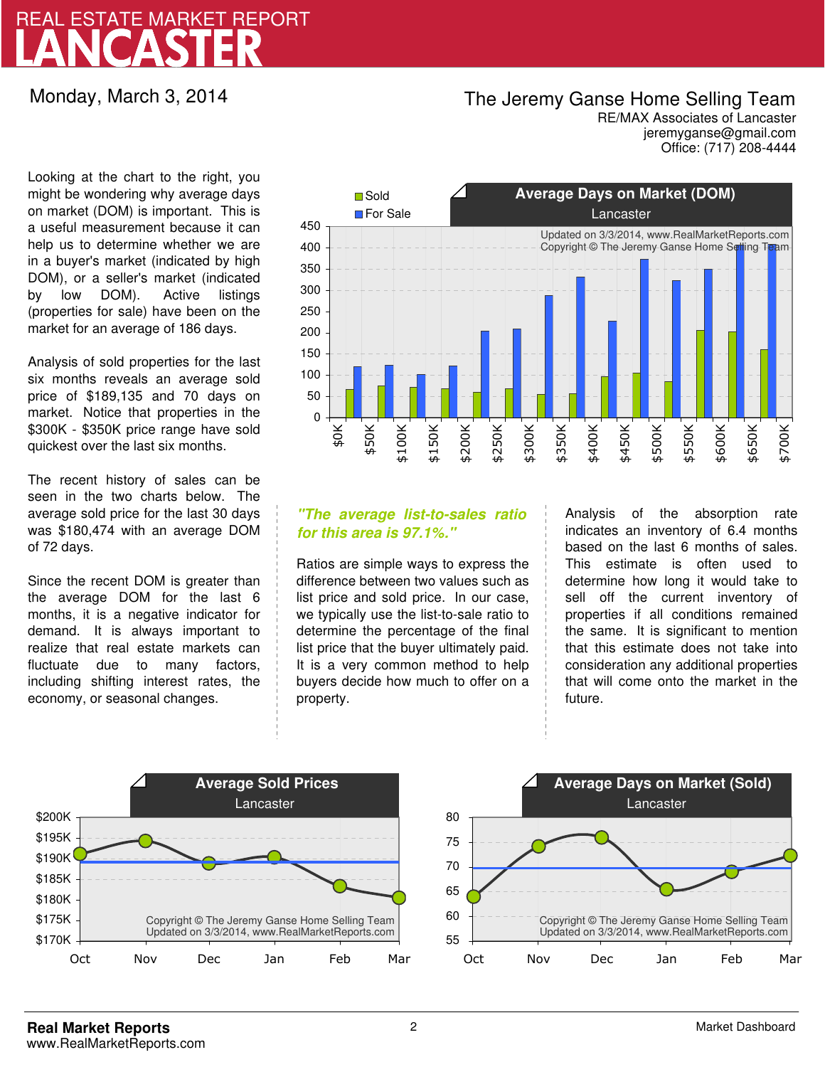## LANCASTER REAL ESTATE MARKET REPORT

Monday, March 3, 2014

### The Jeremy Ganse Home Selling Team

jeremyganse@gmail.com RE/MAX Associates of Lancaster Office: (717) 208-4444

Looking at the chart to the right, you might be wondering why average days on market (DOM) is important. This is a useful measurement because it can help us to determine whether we are in a buyer's market (indicated by high DOM), or a seller's market (indicated by low DOM). Active listings (properties for sale) have been on the market for an average of 186 days.

Analysis of sold properties for the last six months reveals an average sold price of \$189,135 and 70 days on market. Notice that properties in the \$300K - \$350K price range have sold quickest over the last six months.

The recent history of sales can be seen in the two charts below. The average sold price for the last 30 days was \$180,474 with an average DOM of 72 days.

Since the recent DOM is greater than the average DOM for the last 6 months, it is a negative indicator for demand. It is always important to realize that real estate markets can fluctuate due to many factors, including shifting interest rates, the economy, or seasonal changes.



### **"The average list-to-sales ratio for this area is 97.1%."**

Ratios are simple ways to express the difference between two values such as list price and sold price. In our case, we typically use the list-to-sale ratio to determine the percentage of the final list price that the buyer ultimately paid. It is a very common method to help buyers decide how much to offer on a property.

Analysis of the absorption rate indicates an inventory of 6.4 months based on the last 6 months of sales. This estimate is often used to determine how long it would take to sell off the current inventory of properties if all conditions remained the same. It is significant to mention that this estimate does not take into consideration any additional properties that will come onto the market in the future.



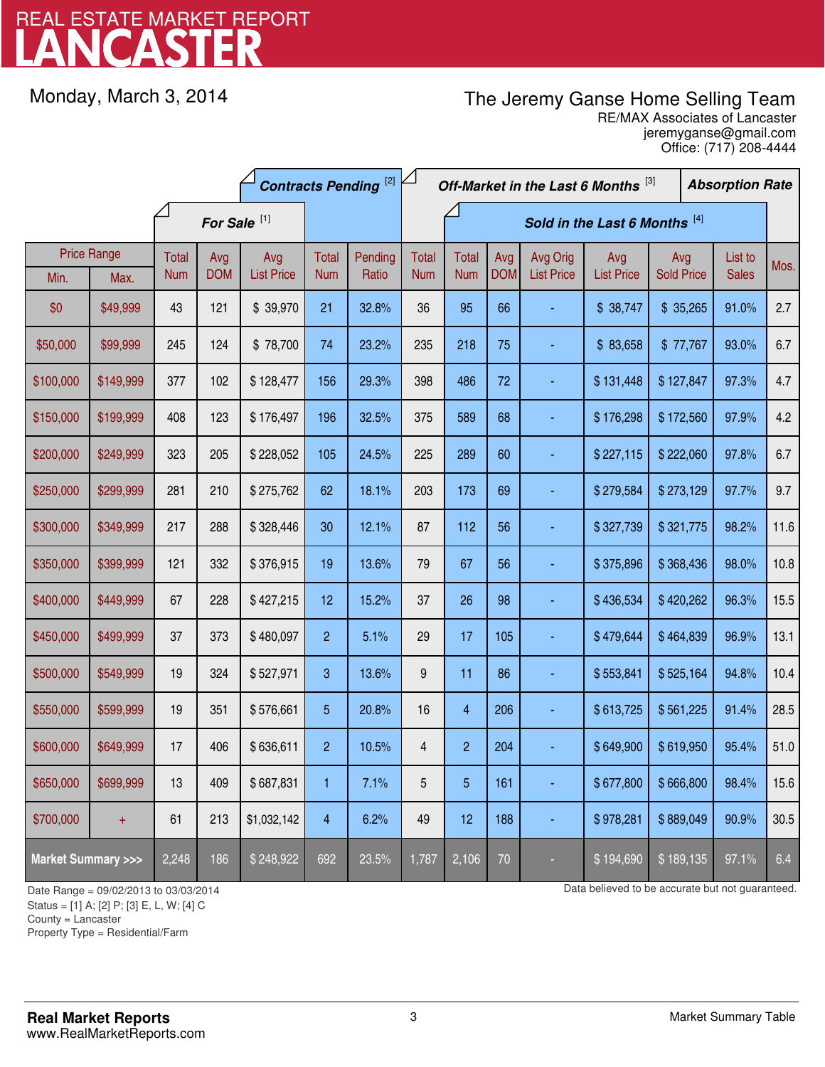# LANCASTER REAL ESTATE MARKET REPORT

Monday, March 3, 2014

## The Jeremy Ganse Home Selling Team

jeremyganse@gmail.com RE/MAX Associates of Lancaster Office: (717) 208-4444

|                                    |                    | <b>Contracts Pending [2]</b> |                   |                          |                | Off-Market in the Last 6 Months [3] |                  |                    |                   | <b>Absorption Rate</b>        |                          |                          |  |                         |      |
|------------------------------------|--------------------|------------------------------|-------------------|--------------------------|----------------|-------------------------------------|------------------|--------------------|-------------------|-------------------------------|--------------------------|--------------------------|--|-------------------------|------|
|                                    |                    | For Sale <sup>[1]</sup>      |                   |                          |                | Sold in the Last 6 Months [4]       |                  |                    |                   |                               |                          |                          |  |                         |      |
|                                    | <b>Price Range</b> | <b>Total</b>                 | Avg<br><b>DOM</b> | Avg<br><b>List Price</b> | <b>Total</b>   | Pending<br>Ratio                    | <b>Total</b>     | <b>Total</b>       | Avg<br><b>DOM</b> | Avg Orig<br><b>List Price</b> | Avg<br><b>List Price</b> | Avg<br><b>Sold Price</b> |  | List to<br><b>Sales</b> | Mos. |
| Min.                               | Max.               | <b>Num</b>                   |                   |                          | <b>Num</b>     |                                     | <b>Num</b>       | <b>Num</b>         |                   |                               |                          |                          |  |                         |      |
| \$0                                | \$49,999           | 43                           | 121               | \$39,970                 | 21             | 32.8%                               | 36               | 95                 | 66                |                               | \$38,747                 | \$35,265                 |  | 91.0%                   | 2.7  |
| \$50,000                           | \$99,999           | 245                          | 124               | \$78,700                 | 74             | 23.2%                               | 235              | 218                | 75                |                               | \$83,658                 | \$77,767                 |  | 93.0%                   | 6.7  |
| \$100,000                          | \$149,999          | 377                          | 102               | \$128,477                | 156            | 29.3%                               | 398              | 486                | 72                |                               | \$131,448                | \$127,847                |  | 97.3%                   | 4.7  |
| \$150,000                          | \$199,999          | 408                          | 123               | \$176,497                | 196            | 32.5%                               | 375              | 589                | 68                |                               | \$176,298                | \$172,560                |  | 97.9%                   | 4.2  |
| \$200,000                          | \$249,999          | 323                          | 205               | \$228,052                | 105            | 24.5%                               | 225              | 289                | 60                |                               | \$227,115                | \$222,060                |  | 97.8%                   | 6.7  |
| \$250,000                          | \$299,999          | 281                          | 210               | \$275,762                | 62             | 18.1%                               | 203              | 173                | 69                |                               | \$279,584                | \$273,129                |  | 97.7%                   | 9.7  |
| \$300,000                          | \$349,999          | 217                          | 288               | \$328,446                | 30             | 12.1%                               | 87               | 112                | 56                |                               | \$327,739                | \$321,775                |  | 98.2%                   | 11.6 |
| \$350,000                          | \$399,999          | 121                          | 332               | \$376,915                | 19             | 13.6%                               | 79               | 67                 | 56                |                               | \$375,896                | \$368,436                |  | 98.0%                   | 10.8 |
| \$400,000                          | \$449,999          | 67                           | 228               | \$427,215                | 12             | 15.2%                               | 37               | 26                 | 98                |                               | \$436,534                | \$420,262                |  | 96.3%                   | 15.5 |
| \$450,000                          | \$499,999          | 37                           | 373               | \$480,097                | $\overline{2}$ | 5.1%                                | 29               | 17                 | 105               |                               | \$479,644                | \$464,839                |  | 96.9%                   | 13.1 |
| \$500,000                          | \$549,999          | 19                           | 324               | \$527,971                | 3              | 13.6%                               | $\boldsymbol{9}$ | 11                 | 86                |                               | \$553,841                | \$525,164                |  | 94.8%                   | 10.4 |
| \$550,000                          | \$599,999          | 19                           | 351               | \$576,661                | 5              | 20.8%                               | 16               | 4                  | 206               |                               | \$613,725                | \$561,225                |  | 91.4%                   | 28.5 |
| \$600,000                          | \$649,999          | 17                           | 406               | \$636,611                | $\overline{2}$ | 10.5%                               | 4                | $\overline{c}$     | 204               |                               | \$649,900                | \$619,950                |  | 95.4%                   | 51.0 |
| \$650,000                          | \$699,999          | 13                           | 409               | \$687,831                | 1              | 7.1%                                | $\overline{5}$   | 5                  | 161               |                               | \$677,800                | \$666,800                |  | 98.4%                   | 15.6 |
| \$700,000                          | $\pm$              | 61                           | 213               | \$1,032,142              | 4              | 6.2%                                | 49               | 12                 | 188               |                               | \$978,281                | \$889,049                |  | 90.9%                   | 30.5 |
| <b>Market Summary &gt;&gt;&gt;</b> |                    | 2,248                        | 186               | \$248,922                | 692            | 23.5%                               | 1,787            | $\overline{2,106}$ | 70                |                               | \$194,690                | \$189,135                |  | 97.1%                   | 6.4  |

Status = [1] A; [2] P; [3] E, L, W; [4] C

County = Lancaster

1

Property Type = Residential/Farm

Date Range = 09/02/2013 to 03/03/2014 Date Range = 09/02/2013 to 03/03/2014